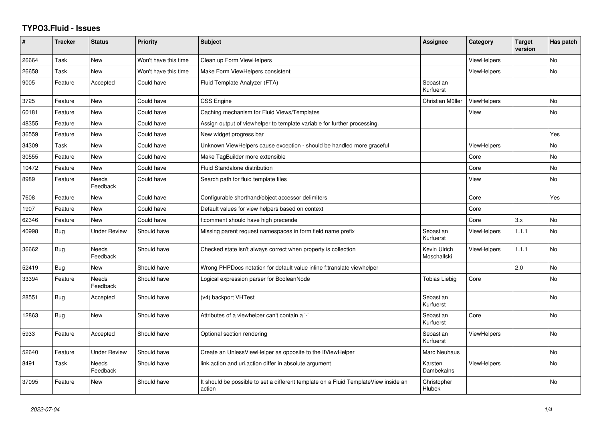## **TYPO3.Fluid - Issues**

| ∦     | <b>Tracker</b> | <b>Status</b>            | <b>Priority</b>      | <b>Subject</b>                                                                                | Assignee                    | Category           | <b>Target</b><br>version | Has patch |
|-------|----------------|--------------------------|----------------------|-----------------------------------------------------------------------------------------------|-----------------------------|--------------------|--------------------------|-----------|
| 26664 | Task           | <b>New</b>               | Won't have this time | Clean up Form ViewHelpers                                                                     |                             | <b>ViewHelpers</b> |                          | <b>No</b> |
| 26658 | Task           | New                      | Won't have this time | Make Form ViewHelpers consistent                                                              |                             | ViewHelpers        |                          | <b>No</b> |
| 9005  | Feature        | Accepted                 | Could have           | Fluid Template Analyzer (FTA)                                                                 | Sebastian<br>Kurfuerst      |                    |                          |           |
| 3725  | Feature        | New                      | Could have           | CSS Engine                                                                                    | Christian Müller            | <b>ViewHelpers</b> |                          | <b>No</b> |
| 60181 | Feature        | New                      | Could have           | Caching mechanism for Fluid Views/Templates                                                   |                             | View               |                          | No        |
| 48355 | Feature        | New                      | Could have           | Assign output of viewhelper to template variable for further processing.                      |                             |                    |                          |           |
| 36559 | Feature        | <b>New</b>               | Could have           | New widget progress bar                                                                       |                             |                    |                          | Yes       |
| 34309 | Task           | New                      | Could have           | Unknown ViewHelpers cause exception - should be handled more graceful                         |                             | <b>ViewHelpers</b> |                          | No        |
| 30555 | Feature        | New                      | Could have           | Make TagBuilder more extensible                                                               |                             | Core               |                          | <b>No</b> |
| 10472 | Feature        | New                      | Could have           | Fluid Standalone distribution                                                                 |                             | Core               |                          | No        |
| 8989  | Feature        | <b>Needs</b><br>Feedback | Could have           | Search path for fluid template files                                                          |                             | View               |                          | No        |
| 7608  | Feature        | New                      | Could have           | Configurable shorthand/object accessor delimiters                                             |                             | Core               |                          | Yes       |
| 1907  | Feature        | New                      | Could have           | Default values for view helpers based on context                                              |                             | Core               |                          |           |
| 62346 | Feature        | <b>New</b>               | Could have           | f:comment should have high precende                                                           |                             | Core               | 3.x                      | <b>No</b> |
| 40998 | <b>Bug</b>     | Under Review             | Should have          | Missing parent request namespaces in form field name prefix                                   | Sebastian<br>Kurfuerst      | <b>ViewHelpers</b> | 1.1.1                    | <b>No</b> |
| 36662 | Bug            | <b>Needs</b><br>Feedback | Should have          | Checked state isn't always correct when property is collection                                | Kevin Ulrich<br>Moschallski | <b>ViewHelpers</b> | 1.1.1                    | <b>No</b> |
| 52419 | Bug            | New                      | Should have          | Wrong PHPDocs notation for default value inline f:translate viewhelper                        |                             |                    | 2.0                      | <b>No</b> |
| 33394 | Feature        | <b>Needs</b><br>Feedback | Should have          | Logical expression parser for BooleanNode                                                     | Tobias Liebig               | Core               |                          | <b>No</b> |
| 28551 | Bug            | Accepted                 | Should have          | (v4) backport VHTest                                                                          | Sebastian<br>Kurfuerst      |                    |                          | <b>No</b> |
| 12863 | <b>Bug</b>     | New                      | Should have          | Attributes of a viewhelper can't contain a '-'                                                | Sebastian<br>Kurfuerst      | Core               |                          | <b>No</b> |
| 5933  | Feature        | Accepted                 | Should have          | Optional section rendering                                                                    | Sebastian<br>Kurfuerst      | <b>ViewHelpers</b> |                          | <b>No</b> |
| 52640 | Feature        | Under Review             | Should have          | Create an UnlessViewHelper as opposite to the IfViewHelper                                    | Marc Neuhaus                |                    |                          | <b>No</b> |
| 8491  | Task           | Needs<br>Feedback        | Should have          | link.action and uri.action differ in absolute argument                                        | Karsten<br>Dambekalns       | <b>ViewHelpers</b> |                          | No        |
| 37095 | Feature        | New                      | Should have          | It should be possible to set a different template on a Fluid TemplateView inside an<br>action | Christopher<br>Hlubek       |                    |                          | <b>No</b> |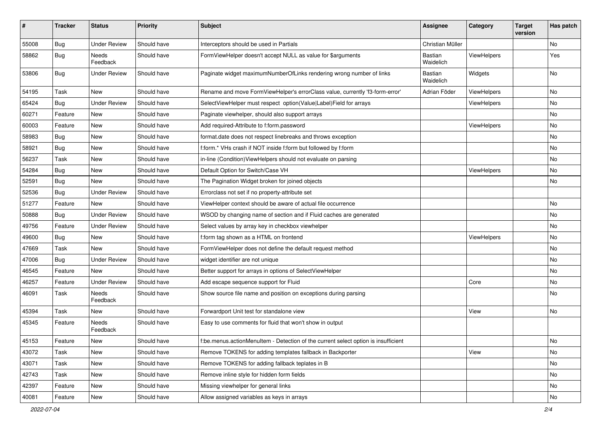| #     | <b>Tracker</b> | <b>Status</b>            | <b>Priority</b> | Subject                                                                            | Assignee                    | Category    | <b>Target</b><br>version | Has patch |
|-------|----------------|--------------------------|-----------------|------------------------------------------------------------------------------------|-----------------------------|-------------|--------------------------|-----------|
| 55008 | Bug            | <b>Under Review</b>      | Should have     | Interceptors should be used in Partials                                            | Christian Müller            |             |                          | <b>No</b> |
| 58862 | Bug            | Needs<br>Feedback        | Should have     | FormViewHelper doesn't accept NULL as value for \$arguments                        | Bastian<br>Waidelich        | ViewHelpers |                          | Yes       |
| 53806 | Bug            | <b>Under Review</b>      | Should have     | Paginate widget maximumNumberOfLinks rendering wrong number of links               | <b>Bastian</b><br>Waidelich | Widgets     |                          | <b>No</b> |
| 54195 | Task           | New                      | Should have     | Rename and move FormViewHelper's errorClass value, currently 'f3-form-error'       | Adrian Föder                | ViewHelpers |                          | No        |
| 65424 | Bug            | <b>Under Review</b>      | Should have     | SelectViewHelper must respect option(Value Label)Field for arrays                  |                             | ViewHelpers |                          | No        |
| 60271 | Feature        | New                      | Should have     | Paginate viewhelper, should also support arrays                                    |                             |             |                          | No        |
| 60003 | Feature        | <b>New</b>               | Should have     | Add required-Attribute to f:form.password                                          |                             | ViewHelpers |                          | No        |
| 58983 | Bug            | New                      | Should have     | format.date does not respect linebreaks and throws exception                       |                             |             |                          | No        |
| 58921 | Bug            | New                      | Should have     | f:form.* VHs crash if NOT inside f:form but followed by f:form                     |                             |             |                          | No        |
| 56237 | Task           | <b>New</b>               | Should have     | in-line (Condition) ViewHelpers should not evaluate on parsing                     |                             |             |                          | No        |
| 54284 | Bug            | New                      | Should have     | Default Option for Switch/Case VH                                                  |                             | ViewHelpers |                          | No        |
| 52591 | Bug            | <b>New</b>               | Should have     | The Pagination Widget broken for joined objects                                    |                             |             |                          | No        |
| 52536 | Bug            | <b>Under Review</b>      | Should have     | Errorclass not set if no property-attribute set                                    |                             |             |                          |           |
| 51277 | Feature        | New                      | Should have     | ViewHelper context should be aware of actual file occurrence                       |                             |             |                          | No        |
| 50888 | Bug            | <b>Under Review</b>      | Should have     | WSOD by changing name of section and if Fluid caches are generated                 |                             |             |                          | No        |
| 49756 | Feature        | <b>Under Review</b>      | Should have     | Select values by array key in checkbox viewhelper                                  |                             |             |                          | No        |
| 49600 | Bug            | New                      | Should have     | f:form tag shown as a HTML on frontend                                             |                             | ViewHelpers |                          | <b>No</b> |
| 47669 | Task           | New                      | Should have     | FormViewHelper does not define the default request method                          |                             |             |                          | No        |
| 47006 | Bug            | <b>Under Review</b>      | Should have     | widget identifier are not unique                                                   |                             |             |                          | No        |
| 46545 | Feature        | New                      | Should have     | Better support for arrays in options of SelectViewHelper                           |                             |             |                          | No        |
| 46257 | Feature        | <b>Under Review</b>      | Should have     | Add escape sequence support for Fluid                                              |                             | Core        |                          | No        |
| 46091 | Task           | Needs<br>Feedback        | Should have     | Show source file name and position on exceptions during parsing                    |                             |             |                          | No        |
| 45394 | Task           | New                      | Should have     | Forwardport Unit test for standalone view                                          |                             | View        |                          | No        |
| 45345 | Feature        | <b>Needs</b><br>Feedback | Should have     | Easy to use comments for fluid that won't show in output                           |                             |             |                          |           |
| 45153 | Feature        | New                      | Should have     | f:be.menus.actionMenuItem - Detection of the current select option is insufficient |                             |             |                          | No        |
| 43072 | Task           | New                      | Should have     | Remove TOKENS for adding templates fallback in Backporter                          |                             | View        |                          | No        |
| 43071 | Task           | New                      | Should have     | Remove TOKENS for adding fallback teplates in B                                    |                             |             |                          | No        |
| 42743 | Task           | New                      | Should have     | Remove inline style for hidden form fields                                         |                             |             |                          | No        |
| 42397 | Feature        | New                      | Should have     | Missing viewhelper for general links                                               |                             |             |                          | No        |
| 40081 | Feature        | New                      | Should have     | Allow assigned variables as keys in arrays                                         |                             |             |                          | No        |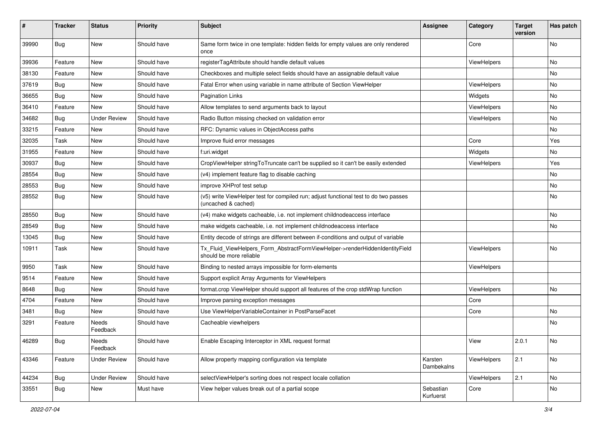| ∦     | <b>Tracker</b> | <b>Status</b>            | <b>Priority</b> | <b>Subject</b>                                                                                              | <b>Assignee</b>        | Category    | <b>Target</b><br>version | Has patch |
|-------|----------------|--------------------------|-----------------|-------------------------------------------------------------------------------------------------------------|------------------------|-------------|--------------------------|-----------|
| 39990 | Bug            | New                      | Should have     | Same form twice in one template: hidden fields for empty values are only rendered<br>once                   |                        | Core        |                          | No        |
| 39936 | Feature        | New                      | Should have     | registerTagAttribute should handle default values                                                           |                        | ViewHelpers |                          | No        |
| 38130 | Feature        | New                      | Should have     | Checkboxes and multiple select fields should have an assignable default value                               |                        |             |                          | No        |
| 37619 | Bug            | New                      | Should have     | Fatal Error when using variable in name attribute of Section ViewHelper                                     |                        | ViewHelpers |                          | No        |
| 36655 | Bug            | New                      | Should have     | Pagination Links                                                                                            |                        | Widgets     |                          | No        |
| 36410 | Feature        | New                      | Should have     | Allow templates to send arguments back to layout                                                            |                        | ViewHelpers |                          | No        |
| 34682 | Bug            | <b>Under Review</b>      | Should have     | Radio Button missing checked on validation error                                                            |                        | ViewHelpers |                          | No.       |
| 33215 | Feature        | New                      | Should have     | RFC: Dynamic values in ObjectAccess paths                                                                   |                        |             |                          | No        |
| 32035 | Task           | New                      | Should have     | Improve fluid error messages                                                                                |                        | Core        |                          | Yes       |
| 31955 | Feature        | New                      | Should have     | f:uri.widget                                                                                                |                        | Widgets     |                          | No        |
| 30937 | Bug            | New                      | Should have     | CropViewHelper stringToTruncate can't be supplied so it can't be easily extended                            |                        | ViewHelpers |                          | Yes       |
| 28554 | <b>Bug</b>     | New                      | Should have     | (v4) implement feature flag to disable caching                                                              |                        |             |                          | No        |
| 28553 | Bug            | New                      | Should have     | improve XHProf test setup                                                                                   |                        |             |                          | No        |
| 28552 | Bug            | New                      | Should have     | (v5) write ViewHelper test for compiled run; adjust functional test to do two passes<br>(uncached & cached) |                        |             |                          | No        |
| 28550 | Bug            | New                      | Should have     | (v4) make widgets cacheable, i.e. not implement childnodeaccess interface                                   |                        |             |                          | No        |
| 28549 | <b>Bug</b>     | New                      | Should have     | make widgets cacheable, i.e. not implement childnodeaccess interface                                        |                        |             |                          | No        |
| 13045 | <b>Bug</b>     | New                      | Should have     | Entity decode of strings are different between if-conditions and output of variable                         |                        |             |                          |           |
| 10911 | Task           | New                      | Should have     | Tx_Fluid_ViewHelpers_Form_AbstractFormViewHelper->renderHiddenIdentityField<br>should be more reliable      |                        | ViewHelpers |                          | No        |
| 9950  | Task           | New                      | Should have     | Binding to nested arrays impossible for form-elements                                                       |                        | ViewHelpers |                          |           |
| 9514  | Feature        | New                      | Should have     | Support explicit Array Arguments for ViewHelpers                                                            |                        |             |                          |           |
| 8648  | <b>Bug</b>     | New                      | Should have     | format.crop ViewHelper should support all features of the crop stdWrap function                             |                        | ViewHelpers |                          | No        |
| 4704  | Feature        | New                      | Should have     | Improve parsing exception messages                                                                          |                        | Core        |                          |           |
| 3481  | Bug            | New                      | Should have     | Use ViewHelperVariableContainer in PostParseFacet                                                           |                        | Core        |                          | No        |
| 3291  | Feature        | <b>Needs</b><br>Feedback | Should have     | Cacheable viewhelpers                                                                                       |                        |             |                          | No        |
| 46289 | Bug            | Needs<br>Feedback        | Should have     | Enable Escaping Interceptor in XML request format                                                           |                        | View        | 2.0.1                    | No        |
| 43346 | Feature        | <b>Under Review</b>      | Should have     | Allow property mapping configuration via template                                                           | Karsten<br>Dambekalns  | ViewHelpers | 2.1                      | No        |
| 44234 | Bug            | <b>Under Review</b>      | Should have     | selectViewHelper's sorting does not respect locale collation                                                |                        | ViewHelpers | 2.1                      | No        |
| 33551 | <b>Bug</b>     | New                      | Must have       | View helper values break out of a partial scope                                                             | Sebastian<br>Kurfuerst | Core        |                          | No        |